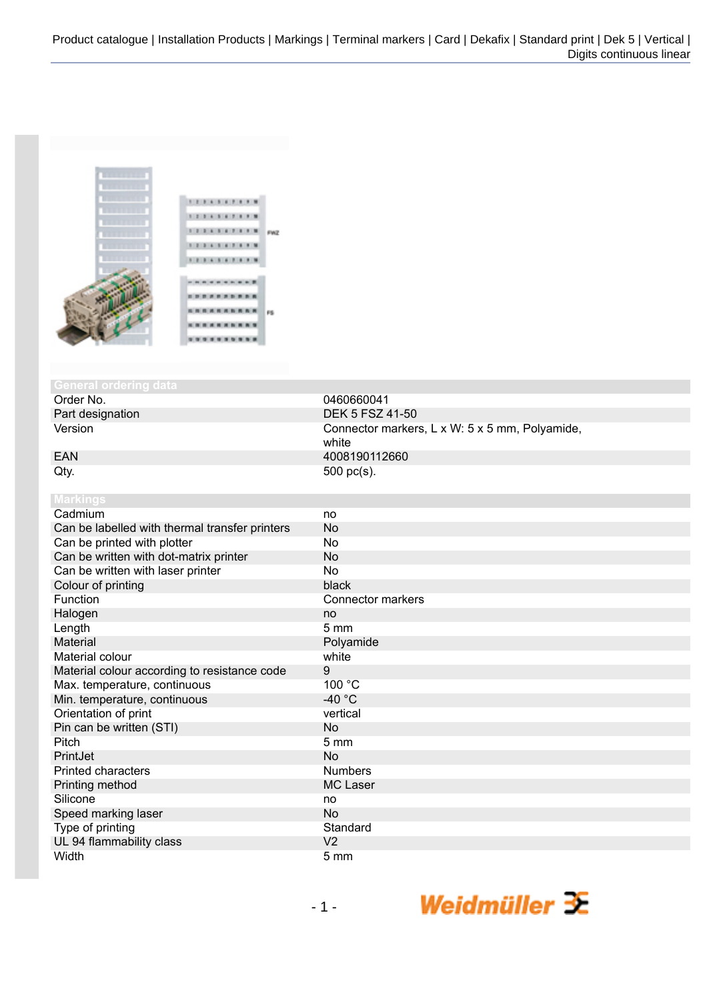

## **General ordering**<br>Order No.

Order No. 0460660041<br>Part designation contract to the COS of the DEK 5 FSZ 4

Part designation DEK 5 FSZ 41-50<br>Version DEK 5 FSZ 41-50 Connector markers, L x W: 5 x 5 mm, Polyamide, white EAN 4008190112660  $Qty.$  500 pc(s).

| <b>Markings</b>                                |                   |
|------------------------------------------------|-------------------|
| Cadmium                                        | no                |
| Can be labelled with thermal transfer printers | <b>No</b>         |
| Can be printed with plotter                    | No                |
| Can be written with dot-matrix printer         | <b>No</b>         |
| Can be written with laser printer              | No                |
| Colour of printing                             | black             |
| Function                                       | Connector markers |
| Halogen                                        | no                |
| Length                                         | $5 \text{ mm}$    |
| Material                                       | Polyamide         |
| Material colour                                | white             |
| Material colour according to resistance code   | 9                 |
| Max. temperature, continuous                   | 100 °C            |
| Min. temperature, continuous                   | -40 $^{\circ}$ C  |
| Orientation of print                           | vertical          |
| Pin can be written (STI)                       | <b>No</b>         |
| Pitch                                          | $5 \, \text{mm}$  |
| PrintJet                                       | <b>No</b>         |
| <b>Printed characters</b>                      | <b>Numbers</b>    |
| Printing method                                | <b>MC Laser</b>   |
| Silicone                                       | no                |
| Speed marking laser                            | <b>No</b>         |
| Type of printing                               | Standard          |
| UL 94 flammability class                       | V <sub>2</sub>    |
| Width                                          | 5 <sub>mm</sub>   |